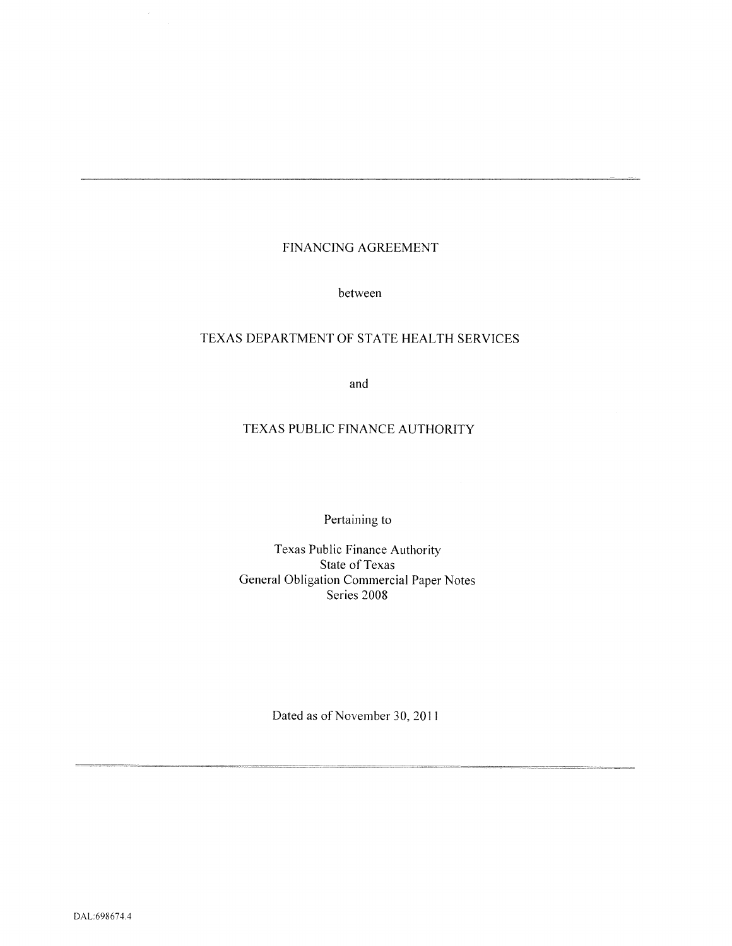# FINANCING AGREEMENT

between

# TEXAS DEPARTMENT OF STATE HEALTH SERVICES

and

# TEXAS PUBLIC FINANCE AUTHORITY

Pertaining to

Texas Public Finance Authority State of Texas General Obligation Commercial Paper Notes Series 2008

Dated as of November 30, 2011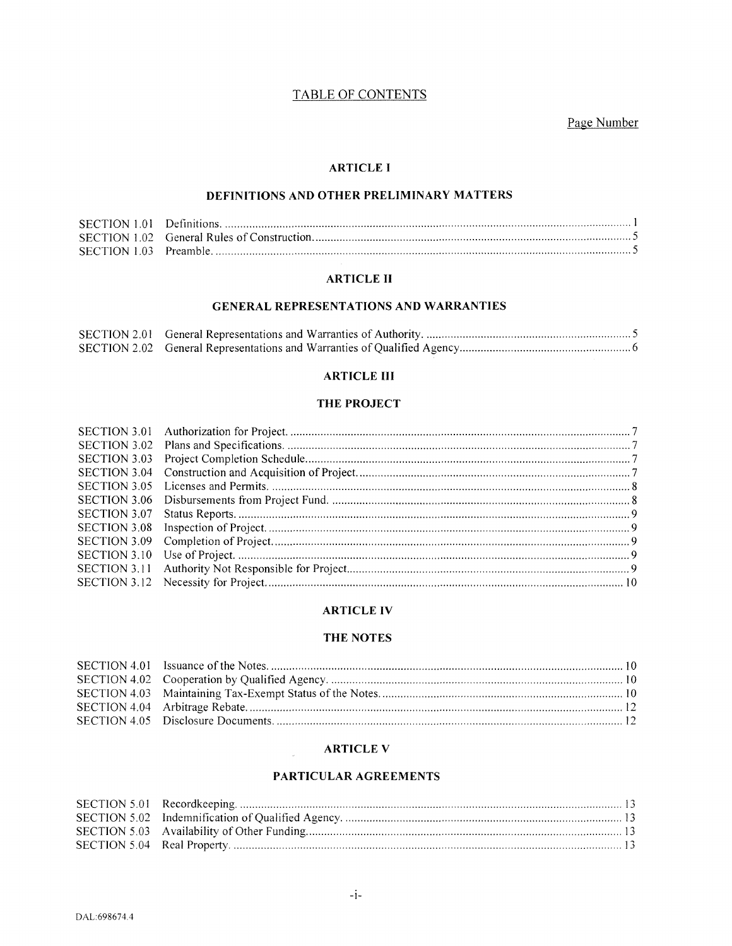# TABLE OF CONTENTS

Page Number

#### **ARTICLE I**

# DEFINITIONS AND OTHER PRELIMINARY MATTERS

## **ARTICLE II**

## **GENERAL REPRESENTATIONS AND WARRANTIES**

#### **ARTICLE III**

# THE PROJECT

## **ARTICLE IV**

#### THE NOTES

#### **ARTICLE V**

 $\mathcal{L}^{\mathcal{L}}$ 

## PARTICULAR AGREEMENTS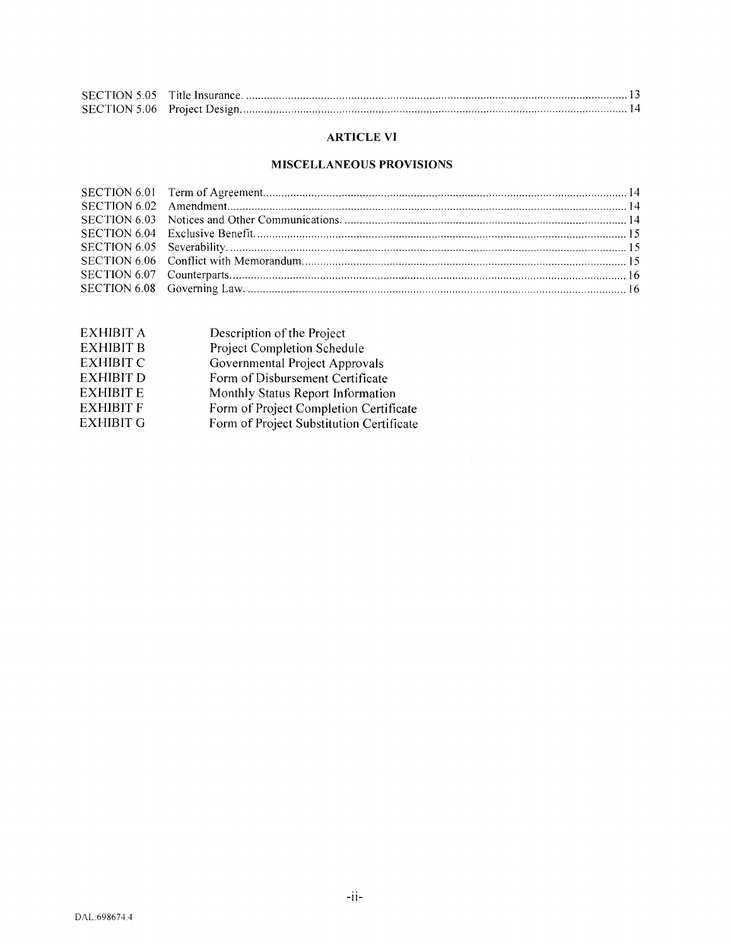## **ARTICLE VI**

# **MISCELLANEOUS PROVISIONS**

| <b>EXHIBIT A</b> | Description of the Project               |
|------------------|------------------------------------------|
| <b>EXHIBIT B</b> | Project Completion Schedule              |
| <b>EXHIBIT C</b> | Governmental Project Approvals           |
| <b>EXHIBIT D</b> | Form of Disbursement Certificate         |
| <b>EXHIBIT E</b> | Monthly Status Report Information        |
| <b>EXHIBIT F</b> | Form of Project Completion Certificate   |
| <b>EXHIBIT G</b> | Form of Project Substitution Certificate |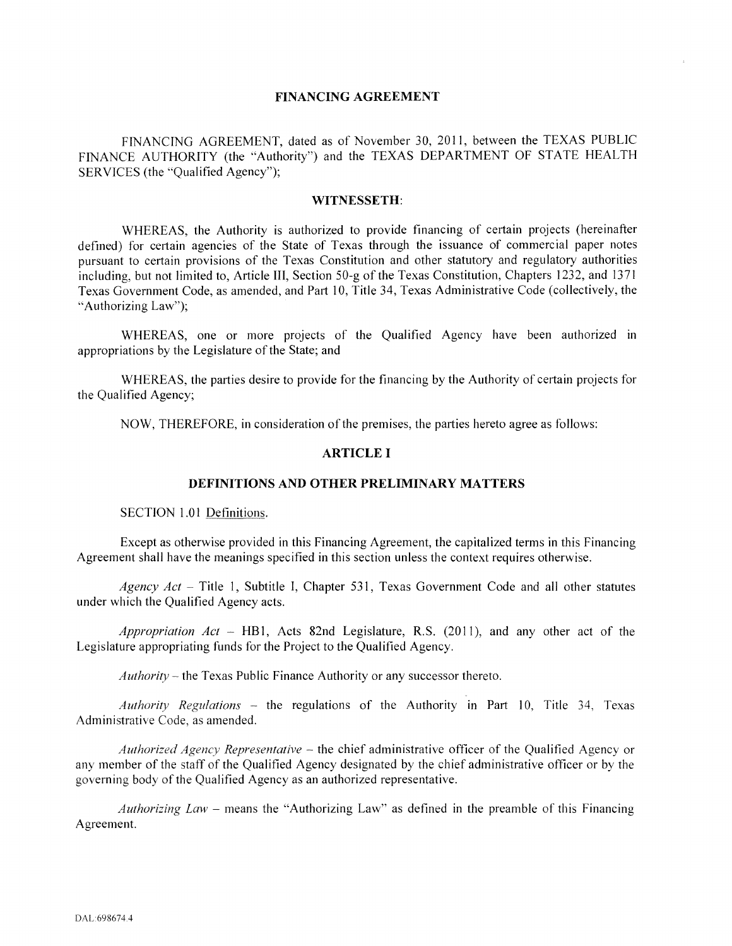#### **FINANCING AGREEMENT**

FINANCING AGREEMENT, dated as of November 30, 2011, between the TEXAS PUBLIC FINANCE AUTHORITY (the "Authority") and the TEXAS DEPARTMENT OF STATE HEALTH SERVICES (the "Qualified Agency");

#### **WITNESSETH:**

WHEREAS, the Authority is authorized to provide financing of certain projects (hereinafter defined) for certain agencies of the State of Texas through the issuance of commercial paper notes pursuant to certain provisions of the Texas Constitution and other statutory and regulatory authorities including, but not limited to, Article III, Section 50-g of the Texas Constitution, Chapters 1232, and 1371 Texas Government Code, as amended, and Part 10, Title 34, Texas Administrative Code (collectively, the "Authorizing Law");

WHEREAS, one or more projects of the Qualified Agency have been authorized in appropriations by the Legislature of the State; and

WHEREAS, the parties desire to provide for the financing by the Authority of certain projects for the Qualified Agency;

NOW, THEREFORE, in consideration of the premises, the parties hereto agree as follows:

## **ARTICLE I**

#### **DEFINITIONS AND OTHER PRELIMINARY MATTERS**

SECTION 1.01 Definitions.

Except as otherwise provided in this Financing Agreement, the capitalized terms in this Financing Agreement shall have the meanings specified in this section unless the context requires otherwise.

*Agency Act –* Title 1, Subtitle I, Chapter 531, Texas Government Code and all other statutes under which the Qualified Agency acts.

*Appropriation Act* - HB1, Acts 82nd Legislature, R.S. (2011), and any other act of the Legislature appropriating funds for the Project to the Qualified Agency.

 $Authority$  – the Texas Public Finance Authority or any successor thereto.

*Authority Regulations –* the regulations of the Authority in Part 10, Title 34, Texas Administrative Code, as amended.

*Authorized Agency Representative* – the chief administrative officer of the Qualified Agency or any member of the staff of the Qualified Agency designated by the chief administrative officer or by the governing body of the Qualified Agency as an authorized representative.

*Authorizing Law* - means the "Authorizing Law" as defined in the preamble of this Financing Agreement.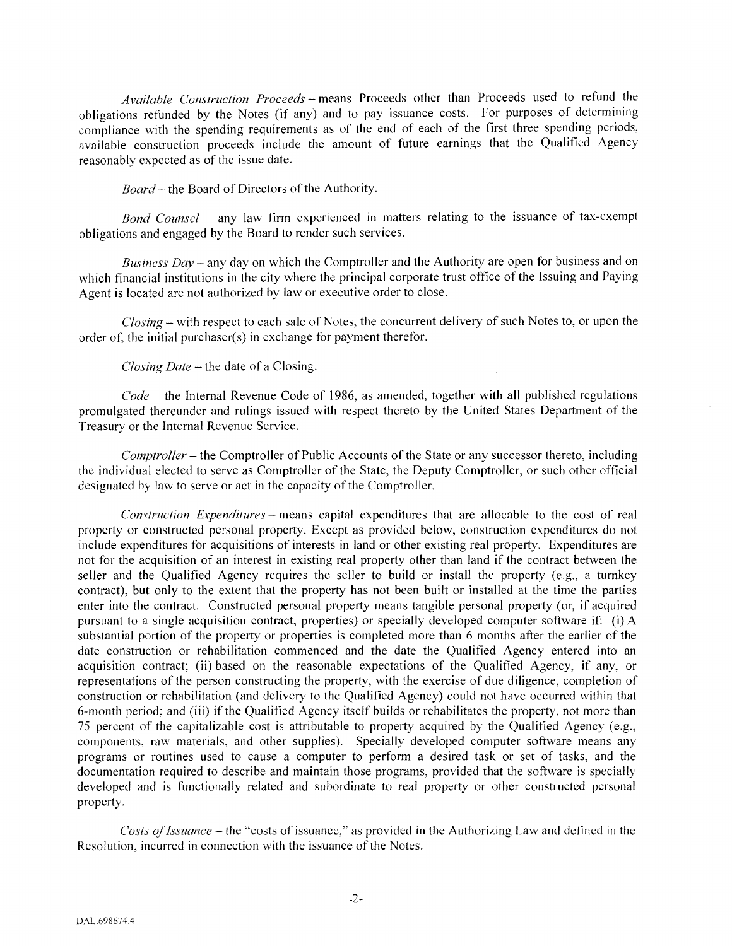*Available Construction Proceeds-* means Proceeds other than Proceeds used to refund the obligations refunded by the Notes (if any) and to pay issuance costs. For purposes of determining compliance with the spending requirements as of the end of each of the first three spending periods, available construction proceeds include the amount of future earnings that the Qualified Agency reasonably expected as of the issue date.

*Board* – the Board of Directors of the Authority.

*Bond Counsel* - any law firm experienced in matters relating to the issuance of tax-exempt obligations and engaged by the Board to render such services.

*Business Day-* any day on which the Comptroller and the Authority are open for business and on which financial institutions in the city where the principal corporate trust office of the Issuing and Paying Agent is located are not authorized by law or executive order to close.

*Closing-* with respect to each sale of Notes, the concurrent delivery of such Notes to, or upon the order of, the initial purchaser(s) in exchange for payment therefor.

#### *Closing Date-* the date of a Closing.

*Code* - the Internal Revenue Code of 1986, as amended, together with all published regulations promulgated thereunder and rulings issued with respect thereto by the United States Department of the Treasury or the Internal Revenue Service.

*Comptroller-* the Comptroller of Public Accounts of the State or any successor thereto, including the individual elected to serve as Comptroller of the State, the Deputy Comptroller, or such other official designated by law to serve or act in the capacity of the Comptroller.

*Construction Expenditures-* means capital expenditures that are allocable to the cost of real property or constructed personal property. Except as provided below, construction expenditures do not include expenditures for acquisitions of interests in land or other existing real property. Expenditures are not for the acquisition of an interest in existing real property other than land if the contract between the seller and the Qualified Agency requires the seller to build or install the property (e.g., a turnkey contract), but only to the extent that the property has not been built or installed at the time the parties enter into the contract. Constructed personal property means tangible personal property (or, if acquired pursuant to a single acquisition contract, properties) or specially developed computer software if: (i) A substantial portion of the property or properties is completed more than 6 months after the earlier of the date construction or rehabilitation commenced and the date the Qualified Agency entered into an acquisition contract; (ii) based on the reasonable expectations of the Qualified Agency, if any, or representations of the person constructing the property, with the exercise of due diligence, completion of construction or rehabilitation (and delivery to the Qualified Agency) could not have occurred within that 6-month period; and (iii) if the Qualified Agency itself builds or rehabilitates the property, not more than 75 percent of the capitalizable cost is attributable to property acquired by the Qualified Agency (e.g., components, raw materials, and other supplies). Specially developed computer software means any programs or routines used to cause a computer to perform a desired task or set of tasks, and the documentation required to describe and maintain those programs, provided that the software is specially developed and is functionally related and subordinate to real property or other constructed personal property.

*Costs of Issuance-* the "costs of issuance," as provided in the Authorizing Law and defined in the Resolution, incurred in connection with the issuance of the Notes.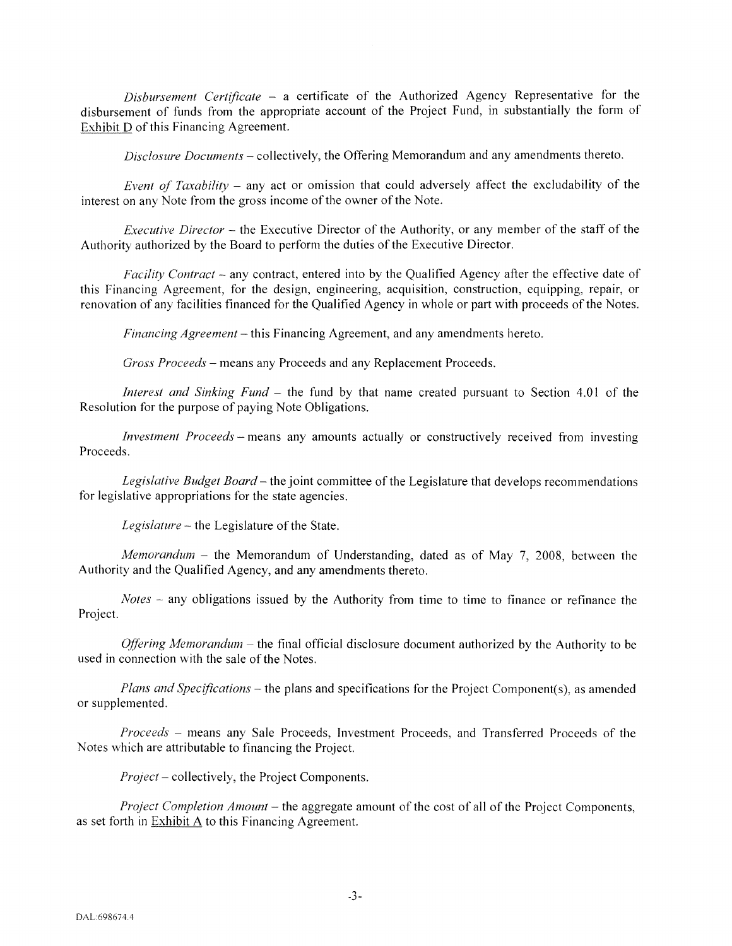*Disbursement Certificate* - a certificate of the Authorized Agency Representative for the disbursement of funds from the appropriate account of the Project Fund, in substantially the fonn of Exhibit D of this Financing Agreement.

*Disclosure Documents-* collectively, the Offering Memorandum and any amendments thereto.

*Event of Taxability - any act or omission that could adversely affect the excludability of the* interest on any Note from the gross income of the owner of the Note.

*Executive Director* – the Executive Director of the Authority, or any member of the staff of the Authority authorized by the Board to perform the duties of the Executive Director.

*Facility Contract –* any contract, entered into by the Qualified Agency after the effective date of this Financing Agreement, for the design, engineering, acquisition, construction, equipping, repair, or renovation of any facilities financed for the Qualified Agency in whole or part with proceeds of the Notes.

*Financing Agreement-* this Financing Agreement, and any amendments hereto.

*Gross Proceeds-* means any Proceeds and any Replacement Proceeds.

*Interest and Sinking Fund* - the fund by that name created pursuant to Section 4.01 of the Resolution for the purpose of paying Note Obligations.

*Investment Proceeds-* means any amounts actually or constructively received from investing Proceeds.

*Legislative Budget Board-* the joint committee of the Legislature that develops recommendations for legislative appropriations for the state agencies.

Legislature - the Legislature of the State.

*Memorandum* - the Memorandum of Understanding, dated as of May 7, 2008, between the Authority and the Qualified Agency, and any amendments thereto.

*Notes –* any obligations issued by the Authority from time to time to finance or refinance the Project.

*Offering Memorandum* – the final official disclosure document authorized by the Authority to be used in connection with the sale of the Notes.

*Plans and Specifications-* the plans and specifications for the Project Component(s), as amended or supplemented.

*Proceeds* - means any Sale Proceeds, Investment Proceeds, and Transferred Proceeds of the Notes which are attributable to financing the Project.

*Project-* collectively, the Project Components.

*Project Completion Amount-* the aggregate amount of the cost of all of the Project Components, as set forth in Exhibit A to this Financing Agreement.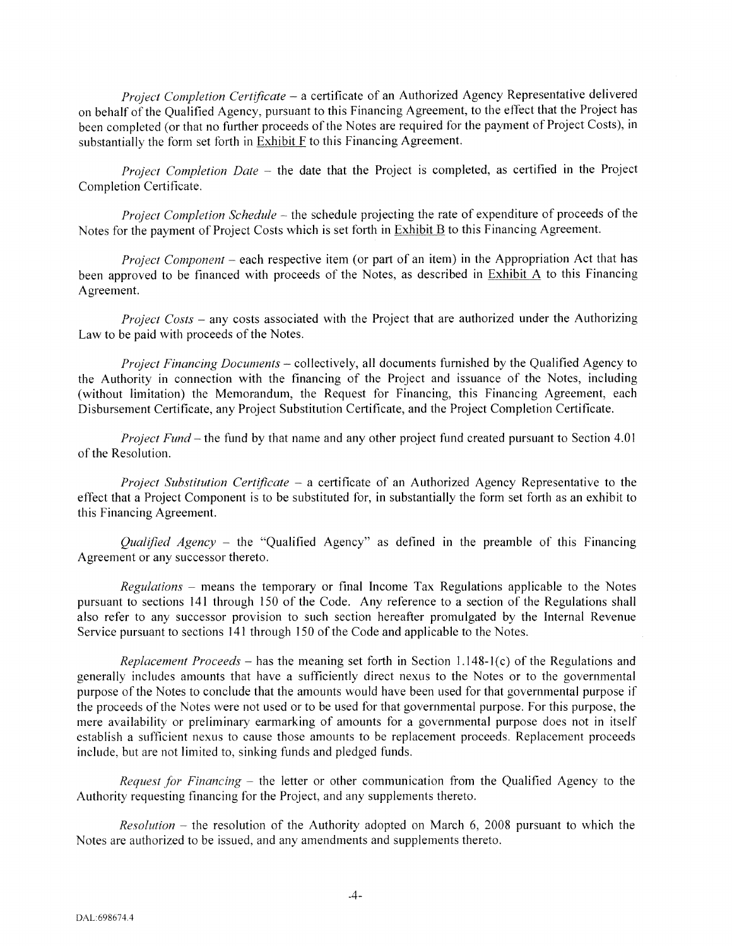*Project Completion Certificate* - a certificate of an Authorized Agency Representative delivered on behalf of the Qualified Agency, pursuant to this Financing Agreement, to the effect that the Project has been completed (or that no further proceeds of the Notes are required for the payment of Project Costs), in substantially the form set forth in Exhibit F to this Financing Agreement.

*Project Completion Date* - the date that the Project is completed, as certified in the Project Completion Certificate.

*Project Completion Schedule* – the schedule projecting the rate of expenditure of proceeds of the Notes for the payment of Project Costs which is set forth in **Exhibit B** to this Financing Agreement.

*Project Component* – each respective item (or part of an item) in the Appropriation Act that has been approved to be financed with proceeds of the Notes, as described in Exhibit A to this Financing Agreement.

*Project Costs* - any costs associated with the Project that are authorized under the Authorizing Law to be paid with proceeds of the Notes.

*Project Financing Documents-* collectively, all documents furnished by the Qualified Agency to the Authority in connection with the financing of the Project and issuance of the Notes, including (without limitation) the Memorandum, the Request for Financing, this Financing Agreement, each Disbursement Certificate, any Project Substitution Certificate, and the Project Completion Certificate.

*Project Fund-* the fund by that name and any other project fund created pursuant to Section 4.01 of the Resolution.

*Project Substitution Certificate* - a certificate of an Authorized Agency Representative to the effect that a Project Component is to be substituted for, in substantially the form set forth as an exhibit to this Financing Agreement.

*Qualified Agency –* the "Qualified Agency" as defined in the preamble of this Financing Agreement or any successor thereto.

*Regulations* - means the temporary or final Income Tax Regulations applicable to the Notes pursuant to sections 141 through 150 of the Code. Any reference to a section of the Regulations shall also refer to any successor provision to such section hereafter promulgated by the Internal Revenue Service pursuant to sections 141 through 150 of the Code and applicable to the Notes.

*Replacement Proceeds* – has the meaning set forth in Section 1.148-1(c) of the Regulations and generally includes amounts that have a sufficiently direct nexus to the Notes or to the governmental purpose of the Notes to conclude that the amounts would have been used for that governmental purpose if the proceeds of the Notes were not used or to be used for that governmental purpose. For this purpose, the mere availability or preliminary earmarking of amounts for a governmental purpose does not in itself establish a sufficient nexus to cause those amounts to be replacement proceeds. Replacement proceeds include, but are not limited to, sinking funds and pledged funds.

*Request for Financing-* the letter or other communication from the Qualified Agency to the Authority requesting financing for the Project, and any supplements thereto.

*Resolution* – the resolution of the Authority adopted on March 6, 2008 pursuant to which the Notes are authorized to be issued, and any amendments and supplements thereto.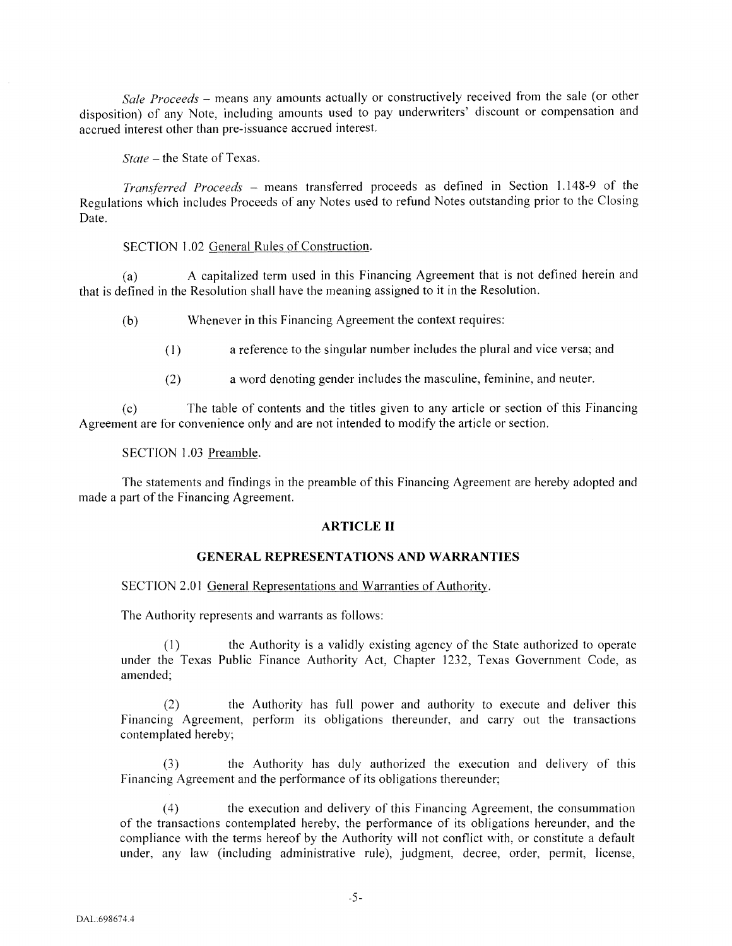*Sale Proceeds* - means any amounts actually or constructively received from the sale (or other disposition) of any Note, including amounts used to pay underwriters' discount or compensation and accrued interest other than pre-issuance accrued interest.

*State-* the State of Texas.

*Transferred Proceeds* - means transferred proceeds as defined in Section 1.148-9 of the Regulations which includes Proceeds of any Notes used to refund Notes outstanding prior to the Closing Date.

SECTION I.02 General Rules of Construction.

(a) A capitalized term used in this Financing Agreement that is not defined herein and that is defined in the Resolution shall have the meaning assigned to it in the Resolution.

(b) Whenever in this Financing Agreement the context requires:

(I) a reference to the singular number includes the plural and vice versa; and

(2) a word denoting gender includes the masculine, feminine, and neuter.

(c) The table of contents and the titles given to any article or section of this Financing Agreement are for convenience only and are not intended to modify the article or section.

SECTION I.03 Preamble.

The statements and findings in the preamble of this Financing Agreement are hereby adopted and made a part of the Financing Agreement.

## **ARTICLE II**

## **GENERAL REPRESENTATIONS AND WARRANTIES**

SECTION 2.0I General Representations and Warranties of Authority.

The Authority represents and warrants as follows:

(I) the Authority is a validly existing agency of the State authorized to operate under the Texas Public Finance Authority Act, Chapter 1232, Texas Government Code, as amended;

(2) the Authority has full power and authority to execute and deliver this Financing Agreement, perform its obligations thereunder, and carry out the transactions contemplated hereby;

(3) the Authority has duly authorized the execution and delivery of this Financing Agreement and the performance of its obligations thereunder;

(4) the execution and delivery of this Financing Agreement, the consummation of the transactions contemplated hereby, the performance of its obligations hereunder, and the compliance with the terms hereof by the Authority will not conflict with, or constitute a default under, any law (including administrative rule), judgment, decree, order, permit, license,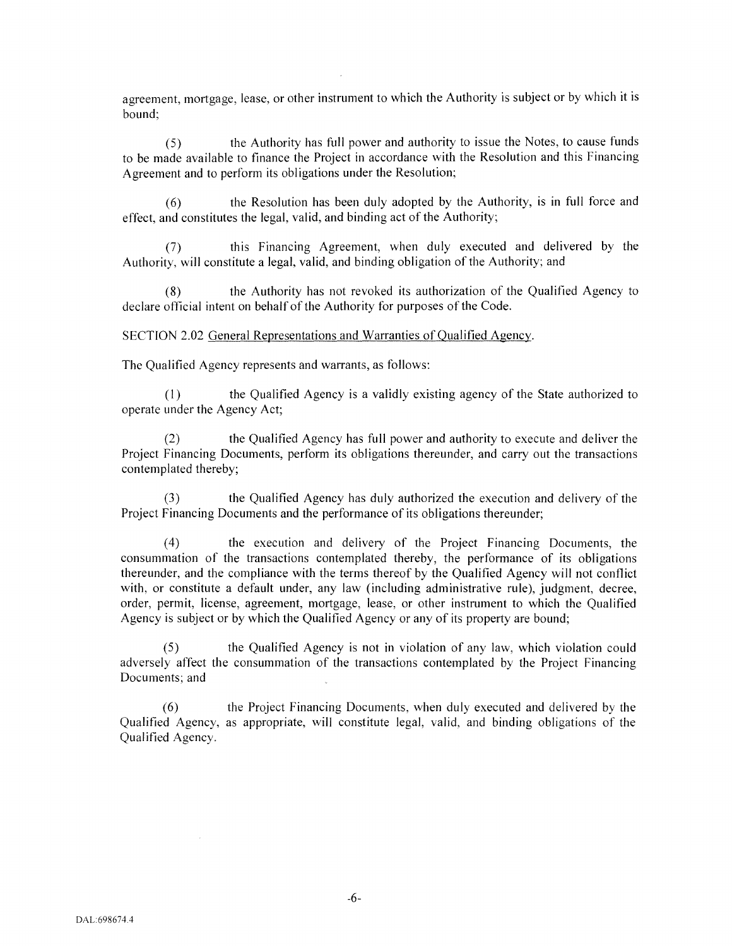agreement, mortgage, lease, or other instrument to which the Authority is subject or by which it is bound;

(5) the Authority has full power and authority to issue the Notes, to cause funds to be made available to finance the Project in accordance with the Resolution and this Financing Agreement and to perform its obligations under the Resolution;

(6) the Resolution has been duly adopted by the Authority, is in full force and effect, and constitutes the legal, valid, and binding act of the Authority;

(7) this Financing Agreement, when duly executed and delivered by the Authority, will constitute a legal, valid, and binding obligation of the Authority; and

(8) the Authority has not revoked its authorization of the Qualified Agency to declare official intent on behalf of the Authority for purposes of the Code.

SECTION 2.02 General Representations and Warranties of Qualified Agency.

The Qualified Agency represents and warrants, as follows:

(1) the Qualified Agency is a validly existing agency of the State authorized to operate under the Agency Act;

(2) the Qualified Agency has full power and authority to execute and deliver the Project Financing Documents, perform its obligations thereunder, and carry out the transactions contemplated thereby;

(3) the Qualified Agency has duly authorized the execution and delivery of the Project Financing Documents and the performance of its obligations thereunder;

( 4) the execution and delivery of the Project Financing Documents, the consummation of the transactions contemplated thereby, the performance of its obligations thereunder, and the compliance with the terms thereof by the Qualified Agency will not conflict with, or constitute a default under, any law (including administrative rule), judgment, decree, order, permit, license, agreement, mortgage, lease, or other instrument to which the Qualified Agency is subject or by which the Qualified Agency or any of its property are bound;

(5) the Qualified Agency is not in violation of any law, which violation could adversely affect the consummation of the transactions contemplated by the Project Financing Documents; and

(6) the Project Financing Documents, when duly executed and delivered by the Qualified Agency, as appropriate, will constitute legal, valid, and binding obligations of the Qualified Agency.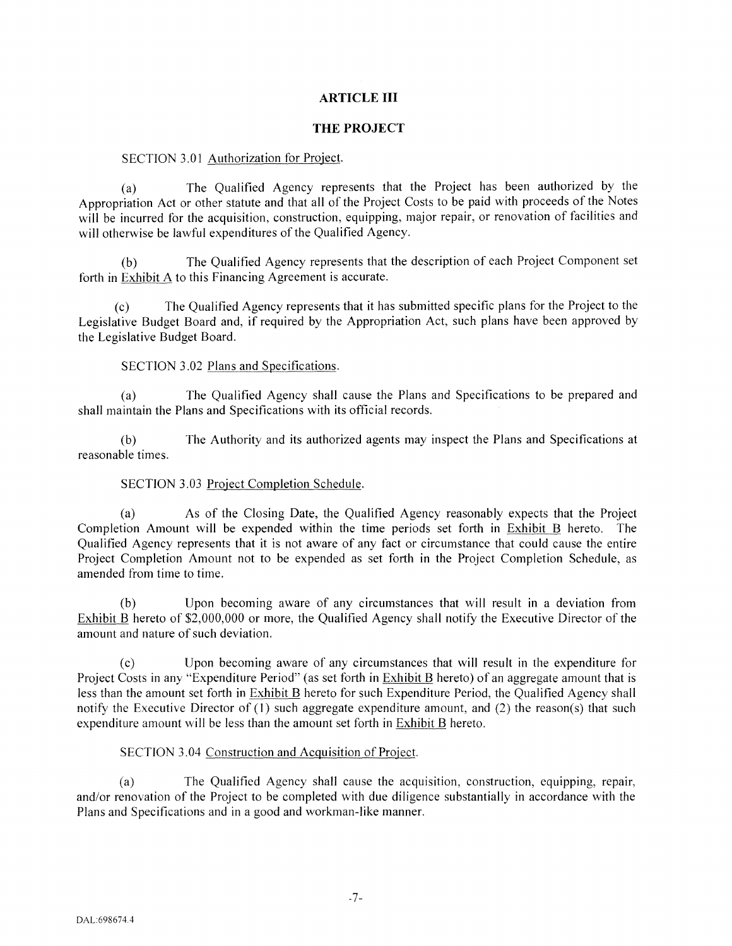# **ARTICLE III**

## **THE PROJECT**

## SECTION 3.01 Authorization for Project.

(a) The Qualified Agency represents that the Project has been authorized by the Appropriation Act or other statute and that all of the Project Costs to be paid with proceeds of the Notes will be incurred for the acquisition, construction, equipping, major repair, or renovation of facilities and will otherwise be lawful expenditures of the Qualified Agency.

(b) The Qualified Agency represents that the description of each Project Component set forth in Exhibit A to this Financing Agreement is accurate.

(c) The Qualified Agency represents that it has submitted specific plans for the Project to the Legislative Budget Board and, if required by the Appropriation Act, such plans have been approved by the Legislative Budget Board.

## SECTION 3.02 Plans and Specifications.

(a) The Qualified Agency shall cause the Plans and Specifications to be prepared and shall maintain the Plans and Specifications with its official records.

(b) The Authority and its authorized agents may inspect the Plans and Specifications at reasonable times.

# SECTION 3.03 Project Completion Schedule.

(a) As of the Closing Date, the Qualified Agency reasonably expects that the Project Completion Amount will be expended within the time periods set forth in Exhibit B hereto. The Qualified Agency represents that it is not aware of any fact or circumstance that could cause the entire Project Completion Amount not to be expended as set forth in the Project Completion Schedule, as amended from time to time.

Upon becoming aware of any circumstances that will result in a deviation from Exhibit B hereto of \$2,000,000 or more, the Qualified Agency shall notify the Executive Director of the amount and nature of such deviation.

(c) Upon becoming aware of any circumstances that will result in the expenditure for Project Costs in any "Expenditure Period" (as set forth in Exhibit B hereto) of an aggregate amount that is less than the amount set forth in Exhibit B hereto for such Expenditure Period, the Qualified Agency shall notify the Executive Director of (I) such aggregate expenditure amount, and (2) the reason(s) that such expenditure amount will be less than the amount set forth in Exhibit B hereto.

## SECTION 3.04 Construction and Acquisition of Project.

(a) The Qualified Agency shall cause the acquisition, construction, equipping, repair, and/or renovation of the Project to be completed with due diligence substantially in accordance with the Plans and Specifications and in a good and workman-like manner.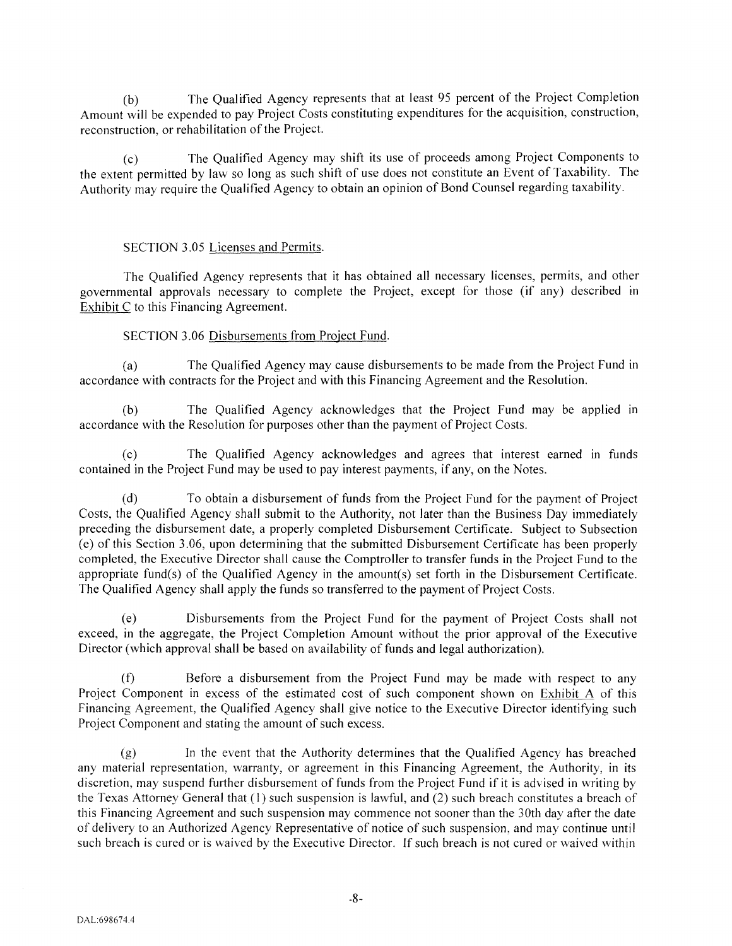(b) The Qualified Agency represents that at least 95 percent of the Project Completion Amount will be expended to pay Project Costs constituting expenditures for the acquisition, construction, reconstruction, or rehabilitation of the Project.

(c) The Qualified Agency may shift its use of proceeds among Project Components to the extent permitted by law so long as such shift of use does not constitute an Event of Taxability. The Authority may require the Qualified Agency to obtain an opinion of Bond Counsel regarding taxability.

### SECTION 3.05 Licenses and Permits.

The Qualified Agency represents that it has obtained all necessary licenses, permits, and other governmental approvals necessary to complete the Project, except for those (if any) described in Exhibit C to this Financing Agreement.

## SECTION 3.06 Disbursements from Project Fund.

(a) The Qualified Agency may cause disbursements to be made from the Project Fund in accordance with contracts for the Project and with this Financing Agreement and the Resolution.

(b) The Qualified Agency acknowledges that the Project Fund may be applied in accordance with the Resolution for purposes other than the payment of Project Costs.

(c) The Qualified Agency acknowledges and agrees that interest earned m funds contained in the Project Fund may be used to pay interest payments, if any, on the Notes.

(d) To obtain a disbursement of funds from the Project Fund for the payment of Project Costs, the Qualified Agency shall submit to the Authority, not later than the Business Day immediately preceding the disbursement date, a properly completed Disbursement Certificate. Subject to Subsection (e) of this Section 3 .06, upon determining that the submitted Disbursement Certificate has been properly completed, the Executive Director shall cause the Comptroller to transfer funds in the Project Fund to the appropriate fund(s) of the Qualified Agency in the amount(s) set forth in the Disbursement Certificate. The Qualified Agency shall apply the funds so transferred to the payment of Project Costs.

(e) Disbursements from the Project Fund for the payment of Project Costs shall not exceed, in the aggregate, the Project Completion Amount without the prior approval of the Executive Director (which approval shall be based on availability of funds and legal authorization).

Before a disbursement from the Project Fund may be made with respect to any Project Component in excess of the estimated cost of such component shown on Exhibit A of this Financing Agreement, the Qualified Agency shall give notice to the Executive Director identifying such Project Component and stating the amount of such excess.

(g) In the event that the Authority determines that the Qualified Agency has breached any material representation, warranty, or agreement in this Financing Agreement, the Authority, in its discretion, may suspend further disbursement of funds from the Project Fund if it is advised in writing by the Texas Attorney General that (I) such suspension is lawful, and (2) such breach constitutes a breach of this Financing Agreement and such suspension may commence not sooner than the 30th day after the date of delivery to an Authorized Agency Representative of notice of such suspension, and may continue until such breach is cured or is waived by the Executive Director. If such breach is not cured or waived within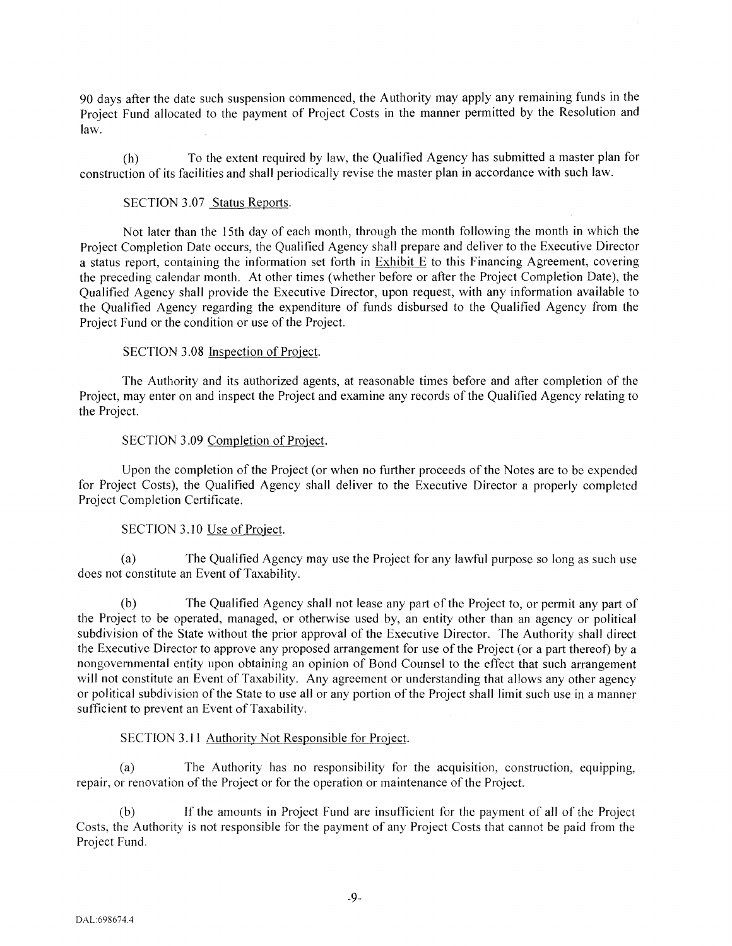90 days after the date such suspension commenced, the Authority may apply any remaining funds in the Project Fund allocated to the payment of Project Costs in the manner permitted by the Resolution and law.

(h) To the extent required by law, the Qualified Agency has submitted a master plan for construction of its facilities and shall periodically revise the master plan in accordance with such law.

### SECTION 3.07 Status Reports.

Not later than the 15th day of each month, through the month following the month in which the Project Completion Date occurs, the Qualified Agency shall prepare and deliver to the Executive Director a status report, containing the information set forth in Exhibit E to this Financing Agreement, covering the preceding calendar month. At other times (whether before or after the Project Completion Date), the Qualified Agency shall provide the Executive Director, upon request, with any information available to the Qualified Agency regarding the expenditure of funds disbursed to the Qualified Agency from the Project Fund or the condition or use of the Project.

## SECTION 3.08 Inspection of Project.

The Authority and its authorized agents, at reasonable times before and after completion of the Project, may enter on and inspect the Project and examine any records of the Qualified Agency relating to the Project.

#### SECTION 3.09 Completion of Project.

Upon the completion of the Project (or when no further proceeds of the Notes are to be expended for Project Costs), the Qualified Agency shall deliver to the Executive Director a properly completed Project Completion Certificate.

## SECTION 3.10 Use of Project.

(a) The Qualified Agency may use the Project for any lawful purpose so long as such use does not constitute an Event of Taxability.

The Qualified Agency shall not lease any part of the Project to, or permit any part of the Project to be operated, managed, or otherwise used by, an entity other than an agency or political subdivision of the State without the prior approval of the Executive Director. The Authority shall direct the Executive Director to approve any proposed arrangement for use of the Project (or a part thereof) by a nongovernmental entity upon obtaining an opinion of Bond Counsel to the effect that such arrangement will not constitute an Event of Taxability. Any agreement or understanding that allows any other agency or political subdivision of the State to use all or any portion of the Project shall limit such use in a manner sufficient to prevent an Event of Taxability.

## SECTION 3.11 Authority Not Responsible for Project.

(a) The Authority has no responsibility for the acquisition, construction, equipping, repair, or renovation of the Project or for the operation or maintenance of the Project.

(b) If the amounts in Project Fund are insufficient for the payment of all of the Project Costs, the Authority is not responsible for the payment of any Project Costs that cannot be paid from the Project Fund.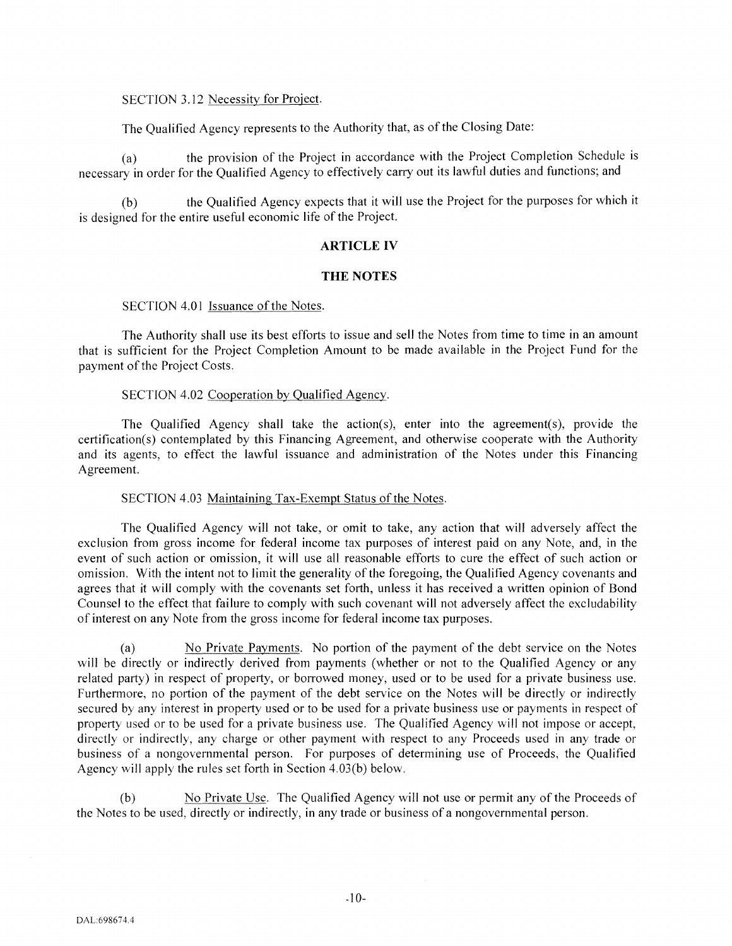## SECTION 3.12 Necessity for Project.

The Qualified Agency represents to the Authority that, as of the Closing Date:

(a) the provision of the Project in accordance with the Project Completion Schedule is necessary in order for the Qualified Agency to effectively carry out its lawful duties and functions; and

(b) the Qualified Agency expects that it will use the Project for the purposes for which it is designed for the entire useful economic life of the Project.

### **ARTICLE IV**

## **THE NOTES**

## SECTION 4.01 Issuance of the Notes.

The Authority shall use its best efforts to issue and sell the Notes from time to time in an amount that is sufficient for the Project Completion Amount to be made available in the Project Fund for the payment of the Project Costs.

## SECTION 4.02 Cooperation by Qualified Agency.

The Qualified Agency shall take the action(s), enter into the agreement(s), provide the certification(s) contemplated by this Financing Agreement, and otherwise cooperate with the Authority and its agents, to effect the lawful issuance and administration of the Notes under this Financing Agreement.

### SECTION 4.03 Maintaining Tax-Exempt Status of the Notes.

The Qualified Agency will not take, or omit to take, any action that will adversely affect the exclusion from gross income for federal income tax purposes of interest paid on any Note, and, in the event of such action or omission, it will use all reasonable efforts to cure the effect of such action or omission. With the intent not to limit the generality of the foregoing, the Qualified Agency covenants and agrees that it will comply with the covenants set forth, unless it has received a written opinion of Bond Counsel to the effect that failure to comply with such covenant will not adversely affect the excludability of interest on any Note from the gross income for federal income tax purposes.

(a) No Private Payments. No portion of the payment of the debt service on the Notes will be directly or indirectly derived from payments (whether or not to the Qualified Agency or any related party) in respect of property, or borrowed money, used or to be used for a private business use. Furthermore, no portion of the payment of the debt service on the Notes will be directly or indirectly secured by any interest in property used or to be used for a private business use or payments in respect of property used or to be used for a private business use. The Qualified Agency will not impose or accept, directly or indirectly, any charge or other payment with respect to any Proceeds used in any trade or business of a nongovernmental person. For purposes of determining use of Proceeds, the Qualified Agency will apply the rules set forth in Section 4.03(b) below.

(b) No Private Use. The Qualified Agency will not use or permit any ofthe Proceeds of the Notes to be used, directly or indirectly, in any trade or business of a nongovernmental person.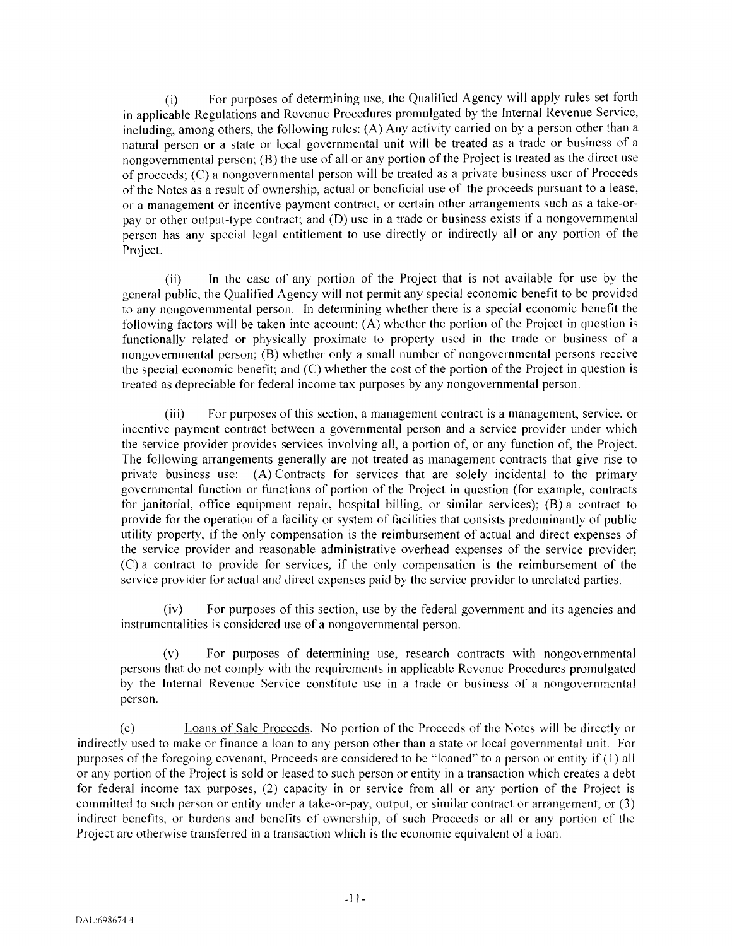(i) For purposes of determining use, the Qualified Agency will apply rules set forth in applicable Regulations and Revenue Procedures promulgated by the Internal Revenue Service, including, among others, the following rules:  $(A)$  Any activity carried on by a person other than a natural person or a state or local governmental unit will be treated as a trade or business of a nongovernmental person; (B) the use of all or any portion of the Project is treated as the direct use of proceeds; (C) a nongovernmental person will be treated as a private business user of Proceeds of the Notes as a result of ownership, actual or beneficial use of the proceeds pursuant to a lease, or a management or incentive payment contract, or certain other arrangements such as a take-orpay or other output-type contract; and (D) use in a trade or business exists if a nongovernmental person has any special legal entitlement to use directly or indirectly all or any portion of the Project.

(ii) In the case of any portion of the Project that is not available for use by the general public, the Qualified Agency will not permit any special economic benefit to be provided to any nongovernmental person. In determining whether there is a special economic benefit the following factors will be taken into account: (A) whether the portion of the Project in question is functionally related or physically proximate to property used in the trade or business of a nongovernmental person; (B) whether only a small number of nongovernmental persons receive the special economic benefit; and (C) whether the cost of the portion of the Project in question is treated as depreciable for federal income tax purposes by any nongovernmental person.

(iii) For purposes of this section, a management contract is a management, service, or incentive payment contract between a governmental person and a service provider under which the service provider provides services involving all, a portion of, or any function of, the Project. The following arrangements generally are not treated as management contracts that give rise to private business use: (A) Contracts for services that are solely incidental to the primary governmental function or functions of portion of the Project in question (for example, contracts for janitorial, office equipment repair, hospital billing, or similar services); (B) a contract to provide for the operation of a facility or system of facilities that consists predominantly of public utility property, if the only compensation is the reimbursement of actual and direct expenses of the service provider and reasonable administrative overhead expenses of the service provider; (C) a contract to provide for services, if the only compensation is the reimbursement of the service provider for actual and direct expenses paid by the service provider to unrelated parties.

(iv) For purposes of this section, use by the federal government and its agencies and instrumentalities is considered use of a nongovernmental person.

(v) For purposes of determining use, research contracts with nongovernmental persons that do not comply with the requirements in applicable Revenue Procedures promulgated by the Internal Revenue Service constitute use in a trade or business of a nongovernmental person.

(c) Loans of Sale Proceeds. No portion of the Proceeds of the Notes wi II be directly or indirectly used to make or finance a loan to any person other than a state or local governmental unit. For purposes of the foregoing covenant, Proceeds are considered to be "loaned" to a person or entity if (1) all or any portion of the Project is sold or leased to such person or entity in a transaction which creates a debt for federal income tax purposes, (2) capacity in or service from all or any portion of the Project is committed to such person or entity under a take-or-pay, output, or similar contract or arrangement, or (3) indirect benefits, or burdens and benefits of ownership, of such Proceeds or all or any portion of the Project are otherwise transferred in a transaction which is the economic equivalent of a loan.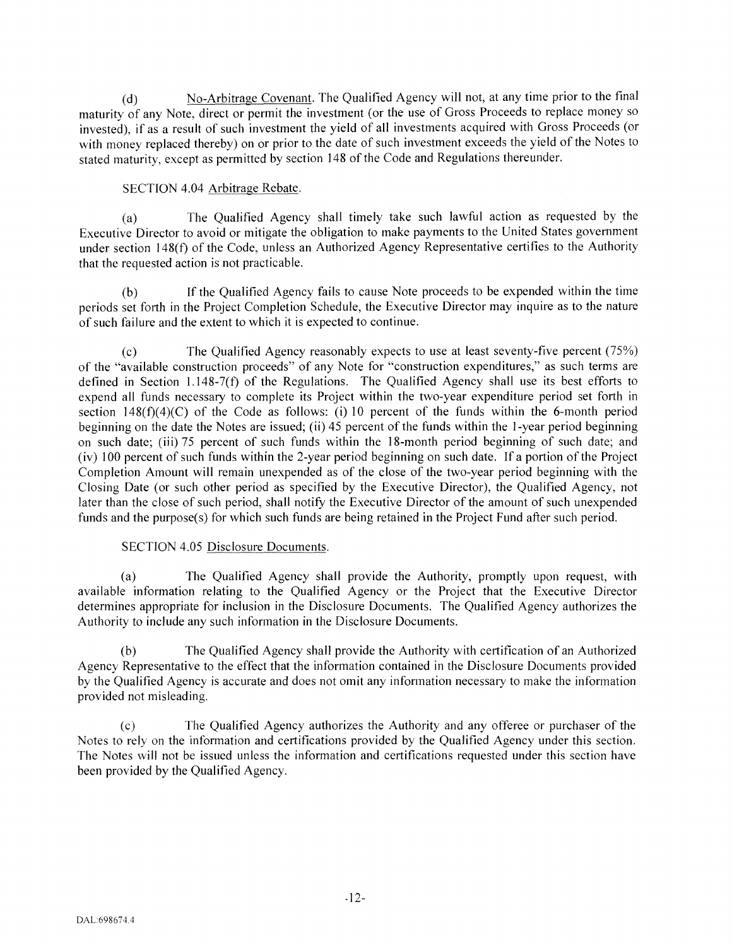(d) No-Arbitrage Covenant. The Qualified Agency will not, at any time prior to the final maturity of any Note, direct or permit the investment (or the use of Gross Proceeds to replace money so invested), if as a result of such investment the yield of all investments acquired with Gross Proceeds (or with money replaced thereby) on or prior to the date of such investment exceeds the yield of the Notes to stated maturity, except as permitted by section 148 of the Code and Regulations thereunder.

# SECTION 4.04 Arbitrage Rebate.

(a) The Qualified Agency shall timely take such lawful action as requested by the Executive Director to avoid or mitigate the obligation to make payments to the United States government under section 148(f) of the Code, unless an Authorized Agency Representative certifies to the Authority that the requested action is not practicable.

(b) If the Qualified Agency fails to cause Note proceeds to be expended within the time periods set forth in the Project Completion Schedule, the Executive Director may inquire as to the nature of such failure and the extent to which it is expected to continue.

(c) The Qualified Agency reasonably expects to use at least seventy-five percent (75%) of the "available construction proceeds" of any Note for "construction expenditures," as such terms are defined in Section 1.148-7(f) of the Regulations. The Qualified Agency shall use its best efforts to expend all funds necessary to complete its Project within the two-year expenditure period set forth in section  $148(f)(4)(C)$  of the Code as follows: (i) 10 percent of the funds within the 6-month period beginning on the date the Notes are issued; (ii) 45 percent of the funds within the 1-year period beginning on such date; (iii) 75 percent of such funds within the 18-month period beginning of such date; and (iv) 100 percent of such funds within the 2-year period beginning on such date. If a portion of the Project Completion Amount will remain unexpended as of the close of the two-year period beginning with the Closing Date (or such other period as specified by the Executive Director), the Qualified Agency, not later than the close of such period, shall notify the Executive Director of the amount of such unexpended funds and the purpose(s) for which such funds are being retained in the Project Fund after such period.

# SECTION 4.05 Disclosure Documents.

(a) The Qualified Agency shall provide the Authority, promptly upon request, with available information relating to the Qualified Agency or the Project that the Executive Director determines appropriate for inclusion in the Disclosure Documents. The Qualified Agency authorizes the Authority to include any such information in the Disclosure Documents.

The Qualified Agency shall provide the Authority with certification of an Authorized Agency Representative to the effect that the information contained in the Disclosure Documents provided by the Qualified Agency is accurate and does not omit any information necessary to make the information provided not misleading.

(c) The Qualified Agency authorizes the Authority and any offeree or purchaser of the Notes to rely on the information and certifications provided by the Qualified Agency under this section. The Notes will not be issued unless the information and certifications requested under this section have been provided by the Qualified Agency.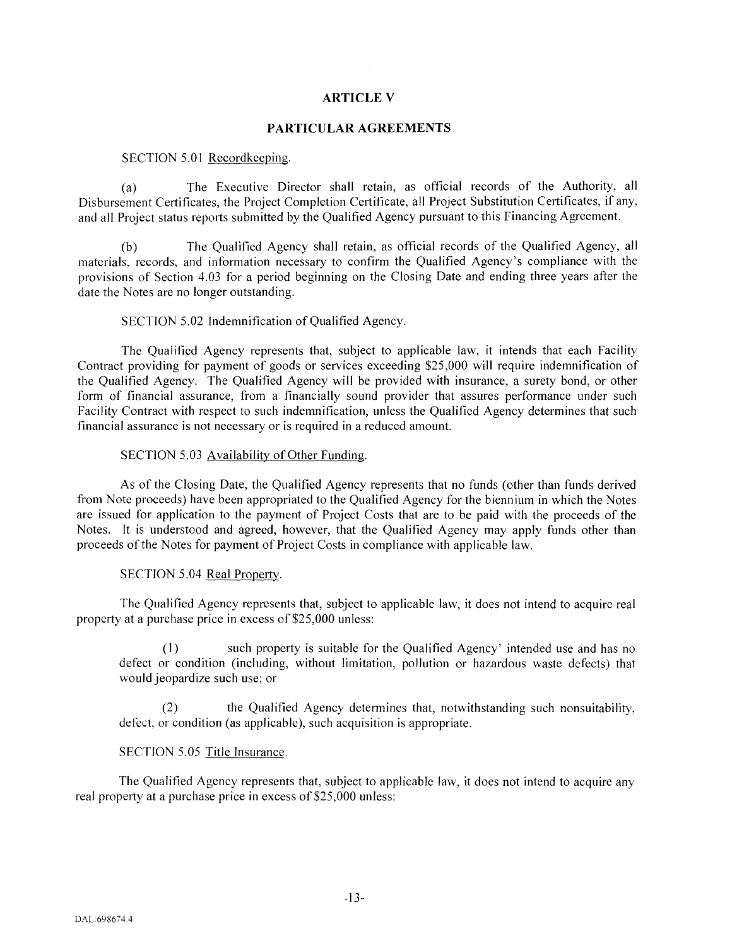## **ARTICLE V**

### **PARTICULAR AGREEMENTS**

#### SECTION 5.01 Recordkeeping.

(a) The Executive Director shall retain, as official records of the Authority, all Disbursement Certificates, the Project Completion Certificate, all Project Substitution Certificates, if any, and all Project status reports submitted by the Qualified Agency pursuant to this Financing Agreement.

(b) The Qualified Agency shall retain, as official records of the Qualified Agency, all materials, records, and information necessary to confirm the Qualified Agency's compliance with the provisions of Section 4.03 for a period beginning on the Closing Date and ending three years after the date the Notes are no longer outstanding.

### SECTION 5.02 Indemnification of Qualified Agency.

The Qualified Agency represents that, subject to applicable law, it intends that each Facility Contract providing for payment of goods or services exceeding \$25,000 will require indemnification of the Qualified Agency. The Qualified Agency will be provided with insurance, a surety bond, or other form of financial assurance, from a financially sound provider that assures performance under such Facility Contract with respect to such indemnification, unless the Qualified Agency determines that such financial assurance is not necessary or is required in a reduced amount.

## SECTION 5.03 Availability of Other Funding.

As of the Closing Date, the Qualified Agency represents that no funds (other than funds derived from Note proceeds) have been appropriated to the Qualified Agency for the biennium in which the Notes are issued for application to the payment of Project Costs that are to be paid with the proceeds of the Notes. It is understood and agreed, however, that the Qualified Agency may apply funds other than proceeds ofthe Notes for payment of Project Costs in compliance with applicable law.

### SECTION 5.04 Real Property.

The Qualified Agency represents that, subject to applicable law, it does not intend to acquire real property at a purchase price in excess of \$25,000 unless:

(I) such property is suitable for the Qualified Agency' intended use and has no defect or condition (including, without limitation, pollution or hazardous waste defects) that would jeopardize such use; or

(2) the Qualified Agency determines that, notwithstanding such nonsuitability, defect, or condition (as applicable), such acquisition is appropriate.

## SECTION 5.05 Title Insurance.

The Qualified Agency represents that, subject to applicable law, it does not intend to acquire any real property at a purchase price in excess of \$25,000 unless: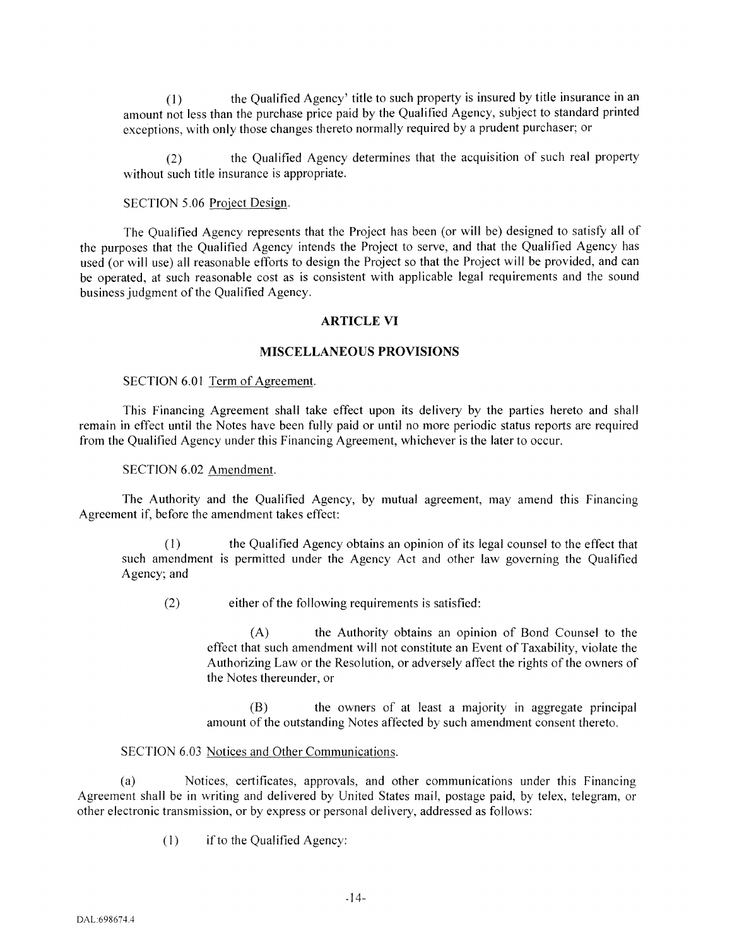(1) the Qualified Agency' title to such property is insured by title insurance in an amount not less than the purchase price paid by the Qualified Agency, subject to standard printed exceptions, with only those changes thereto normally required by a prudent purchaser; or

(2) the Qualified Agency determines that the acquisition of such real property without such title insurance is appropriate.

#### SECTION 5.06 Project Design.

The Qualified Agency represents that the Project has been (or will be) designed to satisfy all of the purposes that the Qualified Agency intends the Project to serve, and that the Qualified Agency has used (or will use) all reasonable efforts to design the Project so that the Project will be provided, and can be operated, at such reasonable cost as is consistent with applicable legal requirements and the sound business judgment of the Qualified Agency.

#### ARTICLE VI

## MISCELLANEOUS PROVISIONS

#### SECTION 6.01 Term of Agreement.

This Financing Agreement shall take effect upon its delivery by the parties hereto and shall remain in effect until the Notes have been fully paid or until no more periodic status reports are required from the Qualified Agency under this Financing Agreement, whichever is the later to occur.

#### SECTION 6.02 Amendment.

The Authority and the Qualified Agency, by mutual agreement, may amend this Financing Agreement if, before the amendment takes effect:

(I) the Qualified Agency obtains an opinion of its legal counsel to the effect that such amendment is permitted under the Agency Act and other law governing the Qualified Agency; and

(2) either of the following requirements is satisfied:

(A) the Authority obtains an opinion of Bond Counsel to the effect that such amendment will not constitute an Event of Taxability, violate the Authorizing Law or the Resolution, or adversely affect the rights of the owners of the Notes thereunder, or

(B) the owners of at least a majority in aggregate principal amount of the outstanding Notes affected by such amendment consent thereto.

## SECTION 6.03 Notices and Other Communications.

(a) Notices, certificates, approvals, and other communications under this Financing Agreement shall be in writing and delivered by United States mail, postage paid, by telex, telegram, or other electronic transmission, or by express or personal delivery, addressed as follows:

(I) if to the Qualified Agency: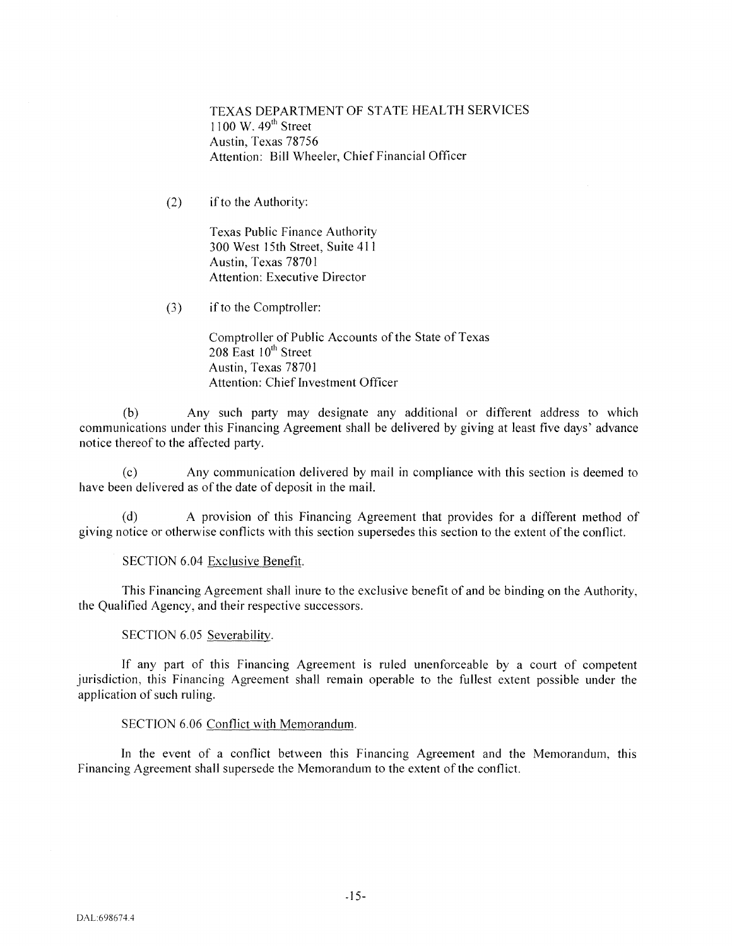TEXAS DEPARTMENT OF STATE HEALTH SERVICES  $1100$  W.  $49<sup>th</sup>$  Street Austin, Texas 78756 Attention: Bill Wheeler, Chief Financial Officer

 $(2)$  if to the Authority:

Texas Public Finance Authority 300 West 15th Street, Suite 411 Austin, Texas 7870 I Attention: Executive Director

(3) if to the Comptroller:

Comptroller of Public Accounts of the State of Texas  $208$  East  $10<sup>th</sup>$  Street Austin, Texas 78701 Attention: Chief Investment Officer

(b) Any such party may designate any additional or different address to which communications under this Financing Agreement shall be delivered by giving at least five days' advance notice thereof to the affected party.

(c) Any communication delivered by mail in compliance with this section is deemed to have been delivered as of the date of deposit in the mail.

(d) A provision of this Financing Agreement that provides for a different method of giving notice or otherwise conflicts with this section supersedes this section to the extent of the conflict.

SECTION 6.04 Exclusive Benefit.

This Financing Agreement shall inure to the exclusive benefit of and be binding on the Authority, the Qualified Agency, and their respective successors.

SECTION 6.05 Severability.

If any part of this Financing Agreement is ruled unenforceable by a court of competent jurisdiction, this Financing Agreement shall remain operable to the fullest extent possible under the application of such ruling.

## SECTION 6.06 Conflict with Memorandum.

In the event of a conflict between this Financing Agreement and the Memorandum, this Financing Agreement shall supersede the Memorandum to the extent of the conflict.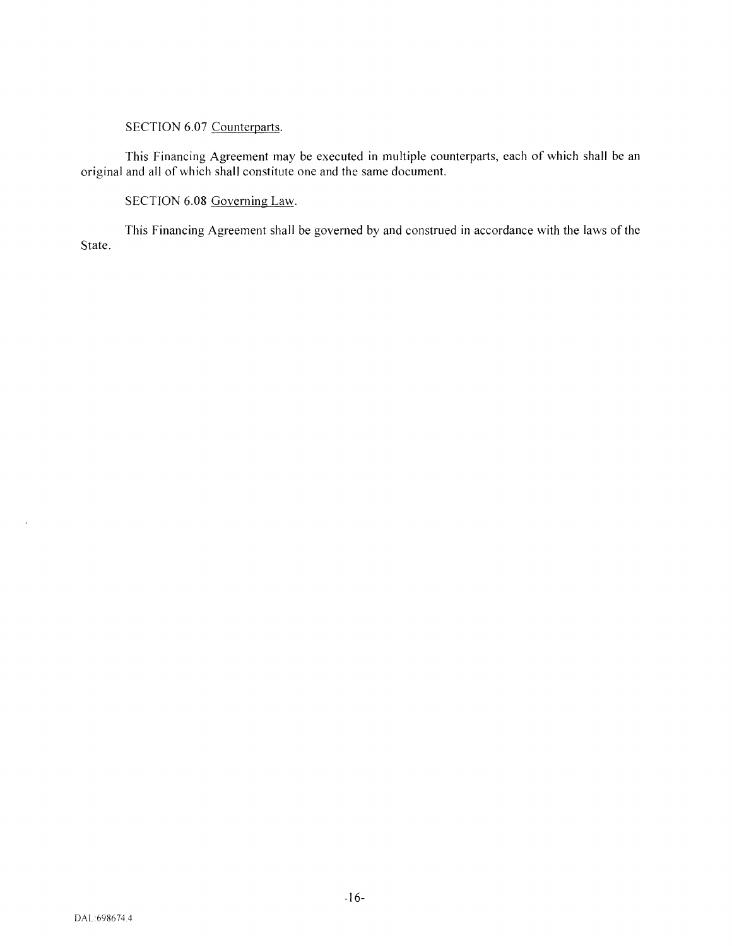# SECTION 6.07 Counterparts.

This Financing Agreement may be executed in multiple counterparts, each of which shall be an original and all of which shall constitute one and the same document.

SECTION 6.08 Governing Law.

This Financing Agreement shall be governed by and construed in accordance with the laws of the State.

 $\mathcal{L}^{\pm}$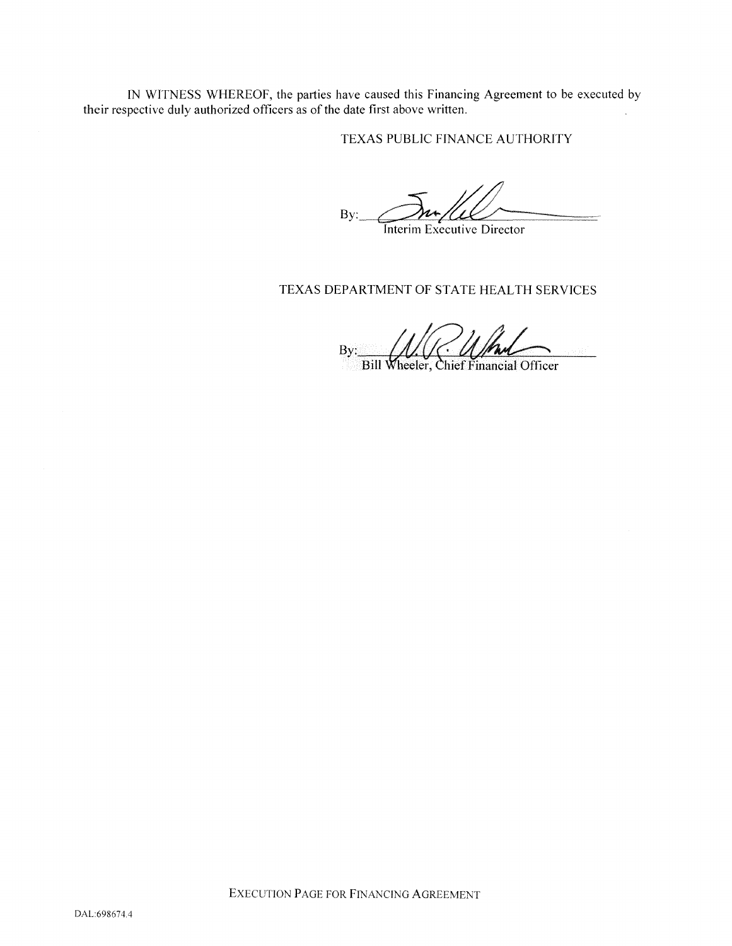IN WITNESS WHEREOF, the parties have caused this Financing Agreement to be executed by their respective duly authorized officers as of the date first above written.

TEXAS PUBLIC FINANCE AUTHORITY

 $By:$   $\mathcal{D}$ m/LL

Interim Executive Director

# TEXAS DEPARTMENT OF STATE HEALTH SERVICES

By: Bill Wheeler, Chief Financial Officer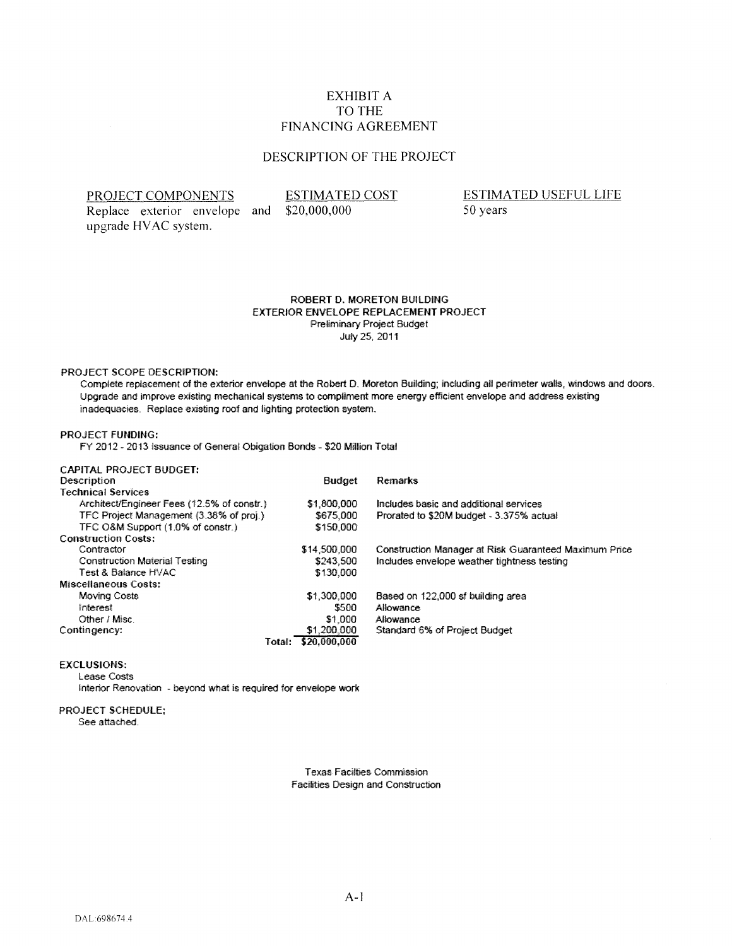# EXHIBIT A TO THE FINANCING AGREEMENT

# DESCRIPTION OF THE PROJECT

#### PROJECT COMPONENTS

Replace exterior envelope and \$20,000,000 upgrade HV AC system.

ESTIMATED COST

ESTIMATED USEFUL LIFE 50 years

#### ROBERT D. MORETON BUILDING EXTERIOR ENVELOPE REPLACEMENT PROJECT Preliminary Project Budget July 25. 2011

#### PROJECT SCOPE DESCRIPTION:

Complete replacement of the exterior envetope at the Robert D. Moreton Building; including ail perimeter walls, windows and doors. Upgrade and improve existing mechanical systems lo compliment more energy efficient envelope and address existing inadequacies. Replace existing roof and lighting protection system.

#### PROJECT FUNDING:

FY 2012 - 2013 Issuance of General Obigation Bonds - \$20 Million Total

| <b>CAPITAL PROJECT BUDGET:</b>             |                     |                                                       |
|--------------------------------------------|---------------------|-------------------------------------------------------|
| Description                                | <b>Budget</b>       | Remarks                                               |
| <b>Technical Services</b>                  |                     |                                                       |
| Architect/Engineer Fees (12.5% of constr.) | \$1,800,000         | Includes basic and additional services                |
| TFC Project Management (3,38% of proj.)    | \$675,000           | Prorated to \$20M budget - 3.375% actual              |
| TFC O&M Support (1.0% of constr.)          | \$150,000           |                                                       |
| <b>Construction Costs:</b>                 |                     |                                                       |
| Contractor                                 | \$14,500,000        | Construction Manager at Risk Guaranteed Maximum Price |
| Construction Material Testing              | \$243,500           | Includes envelope weather tightness testing           |
| Test & Balance HVAC                        | \$130,000           |                                                       |
| Miscellaneous Costs:                       |                     |                                                       |
| Moving Costs                               | \$1,300,000         | Based on 122,000 sf building area                     |
| Interest                                   | \$500               | Allowance                                             |
| Other / Misc.                              | \$1,000             | Allowance                                             |
| Contingency:                               | \$1,200,000         | Standard 6% of Project Budget                         |
|                                            | Total: \$20,000.000 |                                                       |

#### EXCLUSIONS:

Lease Costs

Interior Renovation - beyond what is required for envelope work

# PROJECT SCHEDULE;

See attached.

**Texas Facilties Commission** Facilities Design and Construction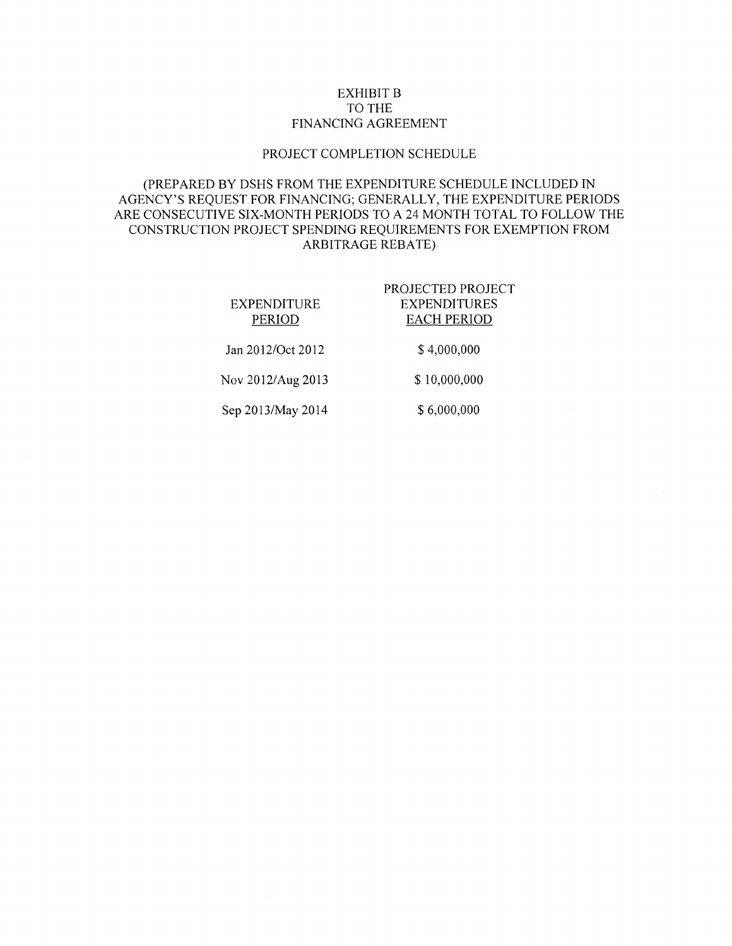# EXHIBIT B TO THE FINANCING AGREEMENT

## PROJECT COMPLETION SCHEDULE

# (PREPARED BY DSHS FROM THE EXPENDITURE SCHEDULE INCLUDED IN AGENCY'S REQUEST FOR FINANCING; GENERALLY, THE EXPENDITURE PERIODS ARE CONSECUTIVE SIX-MONTH PERIODS TO A 24 MONTH TOTAL TO FOLLOW THE CONSTRUCTION PROJECT SPENDING REQUIREMENTS FOR EXEMPTION FROM ARBITRAGE REBATE)

| EXPENDITURE<br><b>PERIOD</b> | PROJECTED PROJECT<br><b>EXPENDITURES</b><br><b>EACH PERIOD</b> |
|------------------------------|----------------------------------------------------------------|
| Jan 2012/Oct 2012            | \$4,000,000                                                    |
| Nov 2012/Aug 2013            | \$10,000,000                                                   |
| Sep 2013/May 2014            | \$6,000,000                                                    |
|                              |                                                                |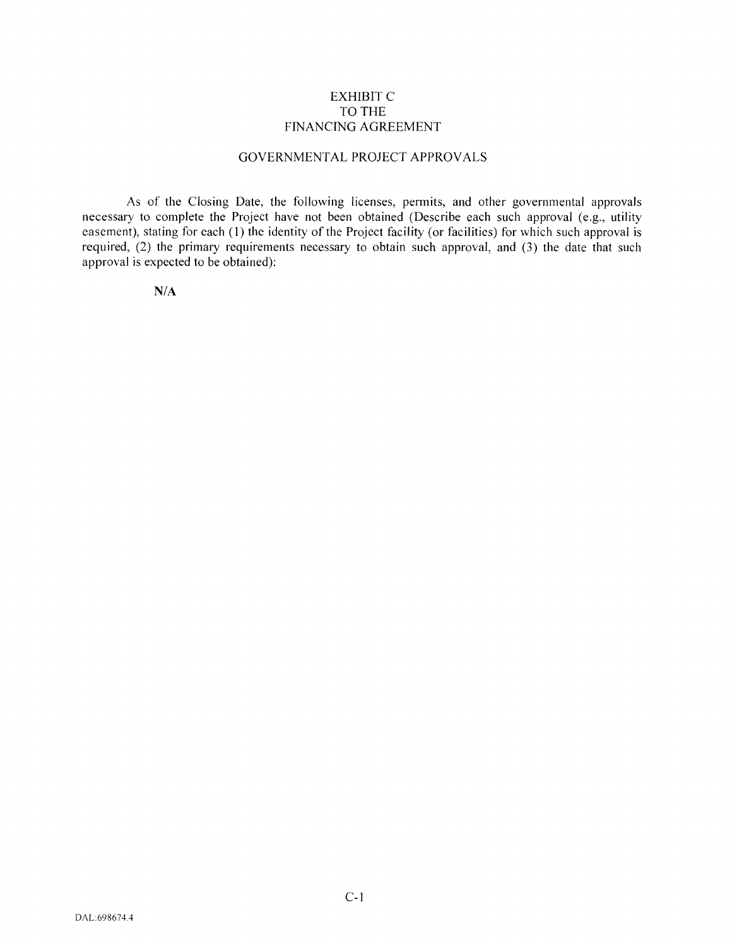## EXHIBIT C TO THE FINANCING AGREEMENT

## GOVERNMENTAL PROJECT APPROVALS

As of the Closing Date, the following licenses, permits, and other governmental approvals necessary to complete the Project have not been obtained (Describe each such approval (e.g., utility easement), stating for each (1) the identity of the Project facility (or facilities) for which such approval is required, (2) the primary requirements necessary to obtain such approval, and (3) the date that such approval is expected to be obtained):

N/A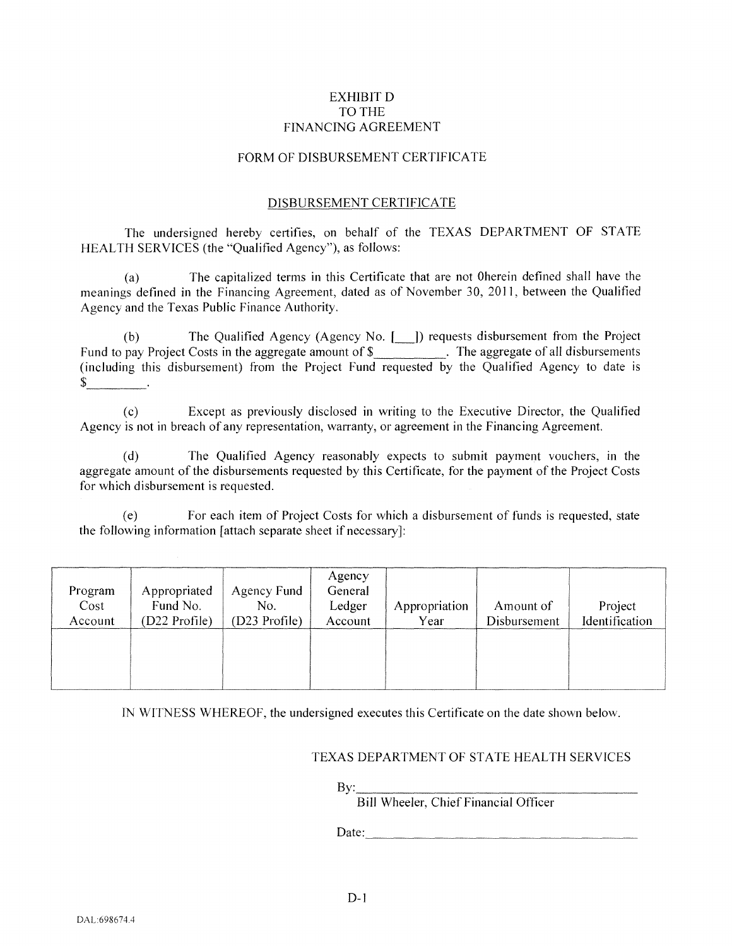## EXHIBIT D TO THE FINANCING AGREEMENT

## FORM OF DISBURSEMENT CERTIFICATE

## DISBURSEMENT CERTIFICATE

The undersigned hereby certifies, on behalf of the TEXAS DEPARTMENT OF STATE HEALTH SERVICES (the "Qualified Agency"), as follows:

(a) The capitalized terms in this Certificate that are not Oherein defined shall have the meanings defined in the Financing Agreement, dated as of November 30, 2011, between the Qualified Agency and the Texas Public Finance Authority.

(b) The Qualified Agency (Agency No. [\_]) requests disbursement from the Project Fund to pay Project Costs in the aggregate amount of \$\_\_\_\_\_\_\_\_\_\_\_. The aggregate of all disbursements (including this disbursement) from the Project Fund requested by the Qualified Agency to date is  $\mathbb{S}$  .

(c) Except as previously disclosed in writing to the Executive Director, the Qualified Agency is not in breach of any representation, warranty, or agreement in the Financing Agreement.

(d) The Qualified Agency reasonably expects to submit payment vouchers, in the aggregate amount of the disbursements requested by this Certificate, for the payment of the Project Costs for which disbursement is requested.

(e) For each item of Project Costs for which a disbursement of funds is requested, state the following information [attach separate sheet if necessary]:

| Program<br>Cost<br>Account | Appropriated<br>Fund No.<br>(D22 Profile) | Agency Fund<br>No.<br>(D23 Profile) | Agency<br>General<br>Ledger<br>Account | Appropriation<br>Year | Amount of<br>Disbursement | Project<br>Identification |
|----------------------------|-------------------------------------------|-------------------------------------|----------------------------------------|-----------------------|---------------------------|---------------------------|
|                            |                                           |                                     |                                        |                       |                           |                           |

IN WITNESS WHEREOF, the undersigned executes this Certificate on the date shown below.

## TEXAS DEPARTMENT OF STATE HEALTH SERVICES

By:

Bill Wheeler, Chief Financial Officer

Date: the contract of the contract of the contract of the contract of the contract of the contract of the contract of the contract of the contract of the contract of the contract of the contract of the contract of the cont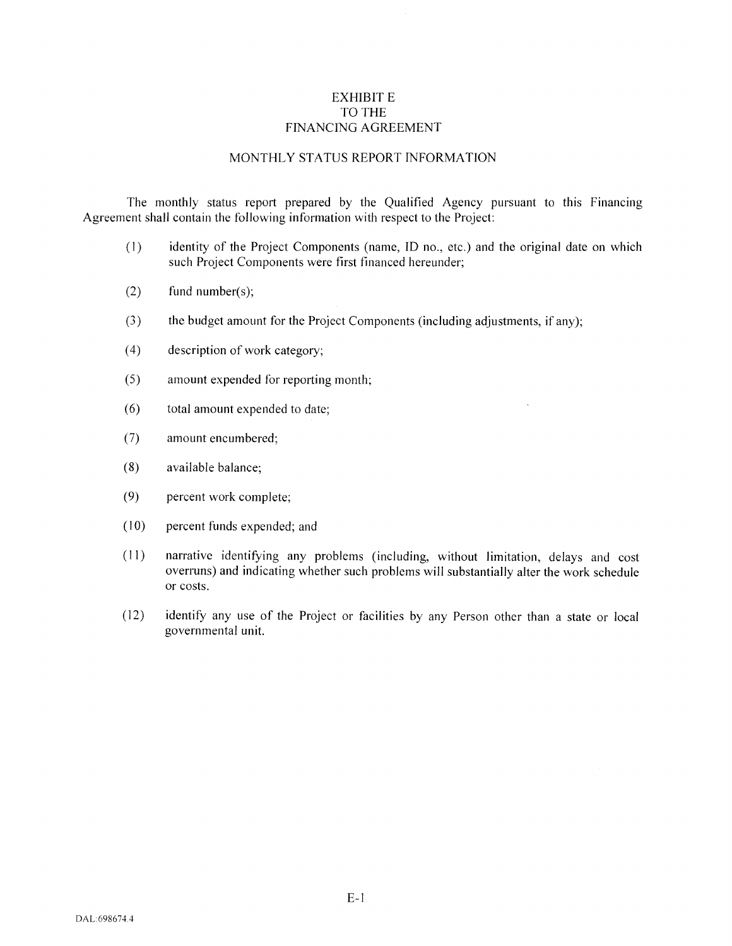## EXHIBIT E TO THE FINANCING AGREEMENT

# MONTHLY STATUS REPORT INFORMATION

The monthly status report prepared by the Qualified Agency pursuant to this Financing Agreement shall contain the following information with respect to the Project:

- (I) identity of the Project Components (name, ID no., etc.) and the original date on which such Project Components were first financed hereunder;
- (2) fund number(s);
- (3) the budget amount for the Project Components (including adjustments, if any);
- (4) description ofwork category;
- (5) amount expended for reporting month;
- ( 6) total amount expended to date;
- (7) amount encumbered;
- (8) available balance;
- (9) percent work complete;
- (10) percent funds expended; and
- (II) narrative identifying any problems (including, without limitation, delays and cost overruns) and indicating whether such problems will substantially alter the work schedule or costs.
- (12) identify any use of the Project or facilities by any Person other than a state or local governmental unit.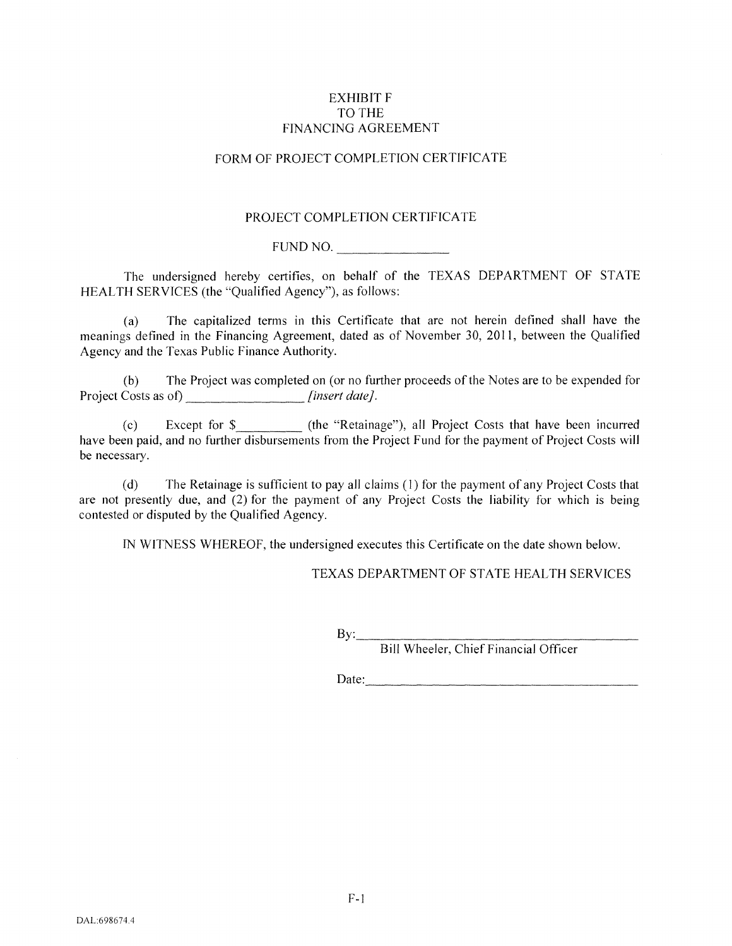## EXHIBIT F TO THE FINANCING AGREEMENT

# FORM OF PROJECT COMPLETION CERTIFICATE

## PROJECT COMPLETION CERTIFICATE

FUND NO. \_\_\_\_\_\_ \_

The undersigned hereby certifies, on behalf of the TEXAS DEPARTMENT OF STATE HEALTH SERVICES (the "Qualified Agency"), as follows:

(a) The capitalized terms in this Certificate that are not herein defined shall have the meanings defined in the Financing Agreement, dated as of November 30, 2011, between the Qualified Agency and the Texas Public Finance Authority.

(b) The Project was completed on (or no further proceeds of the Notes are to be expended for Project Costs as of) *[insert date]*.

(c) Except for \$ (the "Retainage"), all Project Costs that have been incurred have been paid, and no further disbursements from the Project Fund for the payment of Project Costs will be necessary.

(d) The Retainage is sufficient to pay all claims (I) for the payment of any Project Costs that are not presently due, and (2) for the payment of any Project Costs the liability for which is being contested or disputed by the Qualified Agency.

IN WITNESS WHEREOF, the undersigned executes this Certificate on the date shown below.

TEXAS DEPARTMENT OF STATE HEALTH SERVICES

Bill Wheeler, Chief Financial Officer

Date: